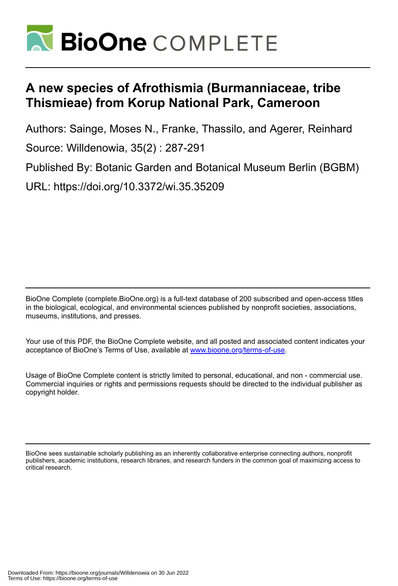

# **A new species of Afrothismia (Burmanniaceae, tribe Thismieae) from Korup National Park, Cameroon**

Authors: Sainge, Moses N., Franke, Thassilo, and Agerer, Reinhard Source: Willdenowia, 35(2) : 287-291

Published By: Botanic Garden and Botanical Museum Berlin (BGBM) URL: https://doi.org/10.3372/wi.35.35209

BioOne Complete (complete.BioOne.org) is a full-text database of 200 subscribed and open-access titles in the biological, ecological, and environmental sciences published by nonprofit societies, associations, museums, institutions, and presses.

Your use of this PDF, the BioOne Complete website, and all posted and associated content indicates your acceptance of BioOne's Terms of Use, available at www.bioone.org/terms-of-use.

Usage of BioOne Complete content is strictly limited to personal, educational, and non - commercial use. Commercial inquiries or rights and permissions requests should be directed to the individual publisher as copyright holder.

BioOne sees sustainable scholarly publishing as an inherently collaborative enterprise connecting authors, nonprofit publishers, academic institutions, research libraries, and research funders in the common goal of maximizing access to critical research.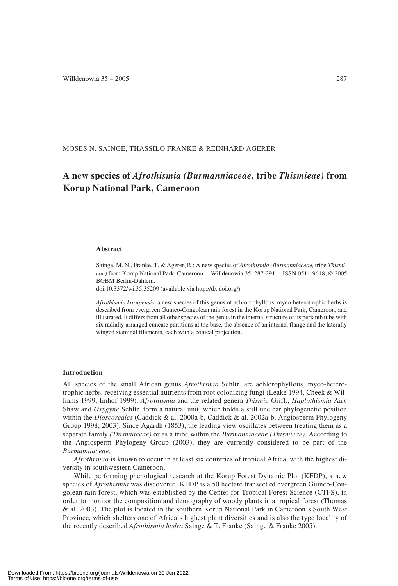MOSES N. SAINGE, THASSILO FRANKE & REINHARD AGERER

# **A new species of** *Afrothismia (Burmanniaceae,* **tribe** *Thismieae)* **from Korup National Park, Cameroon**

#### **Abstract**

Sainge, M. N., Franke, T. & Agerer, R.: A new species of *Afrothismia (Burmanniaceae,* tribe *Thismieae)* from Korup National Park, Cameroon. – Willdenowia 35: 287-291. – ISSN 0511-9618; © 2005 BGBM Berlin-Dahlem.

doi:10.3372/wi.35.35209 (available via http://dx.doi.org/)

*Afrothismia korupensis,* a new species of this genus of achlorophyllous, myco-heterotrophic herbs is described from evergreen Guineo-Congolean rain forest in the Korup National Park, Cameroon, and illustrated. It differs from all other species of the genus in the internal structure of its perianth tube with six radially arranged cuneate partitions at the base, the absence of an internal flange and the laterally winged staminal filaments, each with a conical projection.

#### **Introduction**

All species of the small African genus *Afrothismia* Schltr. are achlorophyllous, myco-heterotrophic herbs, receiving essential nutrients from root colonizing fungi (Leake 1994, Cheek & Williams 1999, Imhof 1999). *Afrothismia* and the related genera *Thismia* Griff., *Haplothismia* Airy Shaw and *Oxygyne* Schltr. form a natural unit, which holds a still unclear phylogenetic position within the *Dioscoreales* (Caddick & al. 2000a-b, Caddick & al. 2002a-b, Angiosperm Phylogeny Group 1998, 2003). Since Agardh (1853), the leading view oscillates between treating them as a separate family *(Thismiaceae)* or as a tribe within the *Burmanniaceae (Thismieae).* According to the Angiosperm Phylogeny Group (2003), they are currently considered to be part of the *Burmanniaceae*.

*Afrothismia* is known to occur in at least six countries of tropical Africa, with the highest diversity in southwestern Cameroon.

While performing phenological research at the Korup Forest Dynamic Plot (KFDP), a new species of *Afrothismia* was discovered. KFDP is a 50 hectare transect of evergreen Guineo-Congolean rain forest, which was established by the Center for Tropical Forest Science (CTFS), in order to monitor the composition and demography of woody plants in a tropical forest (Thomas & al. 2003). The plot is located in the southern Korup National Park in Cameroon's South West Province, which shelters one of Africa's highest plant diversities and is also the type locality of the recently described *Afrothismia hydra* Sainge & T. Franke (Sainge & Franke 2005).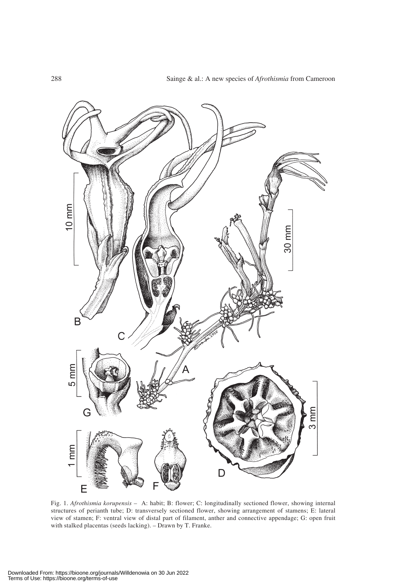

Fig. 1. *Afrothismia korupensis –* A: habit; B: flower; C: longitudinally sectioned flower, showing internal structures of perianth tube; D: transversely sectioned flower, showing arrangement of stamens; E: lateral view of stamen; F: ventral view of distal part of filament, anther and connective appendage; G: open fruit with stalked placentas (seeds lacking). – Drawn by T. Franke.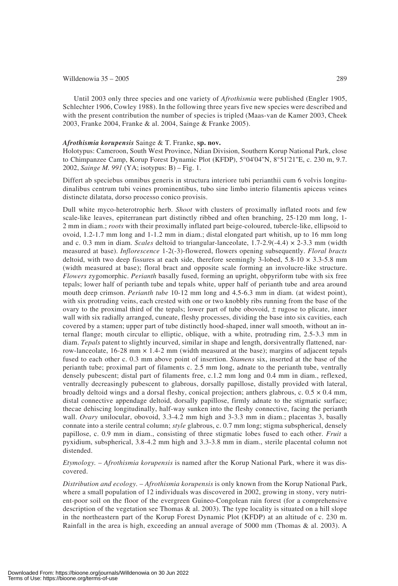### Willdenowia  $35 - 2005$  289

Until 2003 only three species and one variety of *Afrothismia* were published (Engler 1905, Schlechter 1906, Cowley 1988). In the following three years five new species were described and with the present contribution the number of species is tripled (Maas-van de Kamer 2003, Cheek 2003, Franke 2004, Franke & al. 2004, Sainge & Franke 2005).

## *Afrothismia korupensis* Sainge & T. Franke, **sp. nov.**

Holotypus: Cameroon, South West Province, Ndian Division, Southern Korup National Park, close to Chimpanzee Camp, Korup Forest Dynamic Plot (KFDP), 5°04'04''N, 8°51'21''E, c. 230 m, 9.7. 2002, *Sainge M. 991* (YA; isotypus: B) – Fig. 1.

Differt ab speciebus omnibus generis in structura interiore tubi perianthii cum 6 volvis longitudinalibus centrum tubi veines prominentibus, tubo sine limbo interio filamentis apiceus veines distincte dilatata, dorso processo conico provisis.

Dull white myco-heterotrophic herb. *Shoot* with clusters of proximally inflated roots and few scale-like leaves, epiterranean part distinctly ribbed and often branching, 25-120 mm long, 1- 2 mm in diam.; *roots* with their proximally inflated part beige-coloured, tubercle-like, ellipsoid to ovoid, 1.2-1.7 mm long and 1-1.2 mm in diam.; distal elongated part whitish, up to 16 mm long and c. 0.3 mm in diam. *Scales* deltoid to triangular-lanceolate, 1.7-2.9(-4.4) × 2-3.3 mm (width measured at base). *Inflorescence* 1-2(-3)-flowered, flowers opening subsequently. *Floral bracts* deltoid, with two deep fissures at each side, therefore seemingly 3-lobed,  $5.8-10 \times 3.3-5.8$  mm (width measured at base); floral bract and opposite scale forming an involucre-like structure. *Flowers* zygomorphic. *Perianth* basally fused, forming an upright, obpyriform tube with six free tepals; lower half of perianth tube and tepals white, upper half of perianth tube and area around mouth deep crimson. *Perianth tube* 10-12 mm long and 4.5-6.3 mm in diam. (at widest point), with six protruding veins, each crested with one or two knobbly ribs running from the base of the ovary to the proximal third of the tepals; lower part of tube obovoid, ± rugose to plicate, inner wall with six radially arranged, cuneate, fleshy processes, dividing the base into six cavities, each covered by a stamen; upper part of tube distinctly hood-shaped, inner wall smooth, without an internal flange; mouth circular to elliptic, oblique, with a white, protruding rim, 2.5-3.3 mm in diam. *Tepals* patent to slightly incurved, similar in shape and length, dorsiventrally flattened, narrow-lanceolate,  $16-28$  mm  $\times$  1.4-2 mm (width measured at the base); margins of adjacent tepals fused to each other c. 0.3 mm above point of insertion. *Stamens* six, inserted at the base of the perianth tube; proximal part of filaments c. 2.5 mm long, adnate to the perianth tube, ventrally densely pubescent; distal part of filaments free, c.1.2 mm long and 0.4 mm in diam., reflexed, ventrally decreasingly pubescent to glabrous, dorsally papillose, distally provided with lateral, broadly deltoid wings and a dorsal fleshy, conical projection; anthers glabrous, c.  $0.5 \times 0.4$  mm, distal connective appendage deltoid, dorsally papillose, firmly adnate to the stigmatic surface; thecae dehiscing longitudinally, half-way sunken into the fleshy connective, facing the perianth wall. *Ovary* unilocular, obovoid, 3.3-4.2 mm high and 3-3.3 mm in diam.; placentas 3, basally connate into a sterile central column; *style* glabrous, c. 0.7 mm long; stigma subspherical, densely papillose, c. 0.9 mm in diam., consisting of three stigmatic lobes fused to each other. *Fruit* a pyxidium, subspherical, 3.8-4.2 mm high and 3.3-3.8 mm in diam., sterile placental column not distended.

*Etymology.* – *Afrothismia korupensis* is named after the Korup National Park, where it was discovered.

*Distribution and ecology.* – *Afrothismia korupensis* is only known from the Korup National Park, where a small population of 12 individuals was discovered in 2002, growing in stony, very nutrient-poor soil on the floor of the evergreen Guineo-Congolean rain forest (for a comprehensive description of the vegetation see Thomas  $\&$  al. 2003). The type locality is situated on a hill slope in the northeastern part of the Korup Forest Dynamic Plot (KFDP) at an altitude of c. 230 m. Rainfall in the area is high, exceeding an annual average of 5000 mm (Thomas & al. 2003). A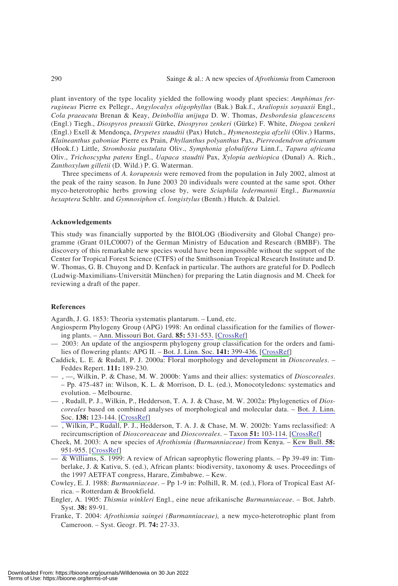plant inventory of the type locality yielded the following woody plant species: *Amphimas ferrugineus* Pierre ex Pellegr., *Angylocalyx oligophyllus* (Bak*.*) Bak.f., *Araliopsis soyauxii* Engl., *Cola praeacuta* Brenan & Keay, *Deinbollia unijuga* D. W. Thomas, *Desbordesia glaucescens* (Engl.) Tiegh., *Diospyros preussii* Gürke, *Diospyros zenkeri* (Gürke) F. White, *Diogoa zenkeri* (Engl.) Exell & Mendonça, *Drypetes staudtii* (Pax) Hutch., *Hymenostegia afzelii* (Oliv.) Harms, *Klaineanthus gaboniae* Pierre ex Prain, *Phyllanthus polyanthus* Pax, *Pierreodendron africanum* (Hook.f.) Little, *Strombosia pustulata* Oliv., *Symphonia globulifera* Linn.f., *Tapura africana* Oliv., *Trichoscypha patens* Engl., *Uapaca staudtii* Pax, *Xylopia aethiopica* (Dunal) A. Rich., *Zanthoxylum gilletii* (D. Wild.) P. G. Waterman.

Three specimens of *A. korupensis* were removed from the population in July 2002, almost at the peak of the rainy season. In June 2003 20 individuals were counted at the same spot. Other myco-heterotrophic herbs growing close by, were *Sciaphila ledermannii* Engl., *Burmannia hexaptera* Schltr. and *Gymnosiphon* cf. *longistylus* (Benth.) Hutch. & Dalziel.

#### **Acknowledgements**

This study was financially supported by the BIOLOG (Biodiversity and Global Change) programme (Grant 01LC0007) of the German Ministry of Education and Research (BMBF). The discovery of this remarkable new species would have been impossible without the support of the Center for Tropical Forest Science (CTFS) of the Smithsonian Tropical Research Institute and D. W. Thomas, G. B. Chuyong and D. Kenfack in particular. The authors are grateful for D. Podlech (Ludwig-Maximilians-Universität München) for preparing the Latin diagnosis and M. Cheek for reviewing a draft of the paper.

#### **References**

Agardh, J. G. 1853: Theoria systematis plantarum. – Lund, etc.

- Angiosperm Phylogeny Group (APG) 1998: An ordinal classification for the families of flowering plants. – Ann. Missouri Bot. Gard. **85:** 531-553. [CrossRef]
- 2003: An update of the angiosperm phylogeny group classification for the orders and families of flowering plants: APG II. – Bot. J. Linn. Soc. **141:** 399-436. [CrossRef]
- Caddick, L. E. & Rudall, P. J. 2000a: Floral morphology and development in *Dioscoreales*. Feddes Repert. **111:** 189-230.
- , —, Wilkin, P. & Chase, M. W. 2000b: Yams and their allies: systematics of *Dioscoreales*. – Pp. 475-487 in: Wilson, K. L. & Morrison, D. L. (ed.), Monocotyledons: systematics and evolution. – Melbourne.
- , Rudall, P. J., Wilkin, P., Hedderson, T. A. J. & Chase, M. W. 2002a: Phylogenetics of *Dioscoreales* based on combined analyses of morphological and molecular data. – Bot. J. Linn. Soc. **138:** 123-144. [CrossRef]
- , Wilkin, P., Rudall, P. J., Hedderson, T. A. J. & Chase, M. W. 2002b: Yams reclassified: A recircumscription of *Dioscoreaceae* and *Dioscoreales*. – Taxon **51:** 103-114. [CrossRef]
- Cheek, M. 2003: A new species of *Afrothismia (Burmanniaceae)* from Kenya. Kew Bull. **58:** 951-955. [CrossRef]
- $-\overline{\&$  Williams, S. 1999: A review of African saprophytic flowering plants. Pp 39-49 in: Timberlake, J. & Kativu, S. (ed.), African plants: biodiversity, taxonomy & uses. Proceedings of the 1997 AETFAT congress, Harare, Zimbabwe. – Kew.
- Cowley, E. J. 1988: *Burmanniaceae*. Pp 1-9 in: Polhill, R. M. (ed.), Flora of Tropical East Africa. – Rotterdam & Brookfield.
- Engler, A. 1905: *Thismia winkleri* Engl., eine neue afrikanische *Burmanniaceae*. Bot. Jahrb. Syst. **38:** 89-91.
- Franke, T. 2004: *Afrothismia saingei (Burmanniaceae),* a new myco-heterotrophic plant from Cameroon. – Syst. Geogr. Pl. **74:** 27-33.